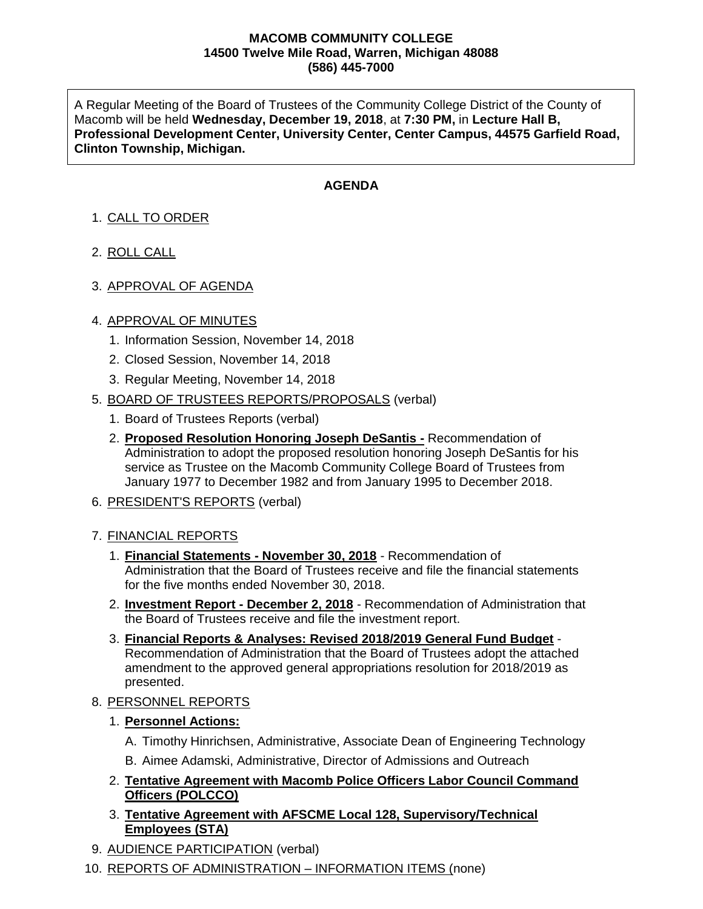#### **MACOMB COMMUNITY COLLEGE 14500 Twelve Mile Road, Warren, Michigan 48088 (586) 445-7000**

A Regular Meeting of the Board of Trustees of the Community College District of the County of Macomb will be held **Wednesday, December 19, 2018**, at **7:30 PM,** in **Lecture Hall B, Professional Development Center, University Center, Center Campus, 44575 Garfield Road, Clinton Township, Michigan.**

### **AGENDA**

# 1. CALL TO ORDER

- 2. ROLL CALL
- 3. APPROVAL OF AGENDA

### 4. APPROVAL OF MINUTES

- 1. Information Session, November 14, 2018
- 2. Closed Session, November 14, 2018
- 3. Regular Meeting, November 14, 2018
- 5. BOARD OF TRUSTEES REPORTS/PROPOSALS (verbal)
	- 1. Board of Trustees Reports (verbal)
	- 2. **Proposed Resolution Honoring Joseph DeSantis -** Recommendation of Administration to adopt the proposed resolution honoring Joseph DeSantis for his service as Trustee on the Macomb Community College Board of Trustees from January 1977 to December 1982 and from January 1995 to December 2018.
- 6. PRESIDENT'S REPORTS (verbal)

### 7. FINANCIAL REPORTS

- 1. **Financial Statements - November 30, 2018** Recommendation of Administration that the Board of Trustees receive and file the financial statements for the five months ended November 30, 2018.
- 2. **Investment Report - December 2, 2018** Recommendation of Administration that the Board of Trustees receive and file the investment report.
- 3. **Financial Reports & Analyses: Revised 2018/2019 General Fund Budget** Recommendation of Administration that the Board of Trustees adopt the attached amendment to the approved general appropriations resolution for 2018/2019 as presented.
- 8. PERSONNEL REPORTS
	- 1. **Personnel Actions:**
		- A. Timothy Hinrichsen, Administrative, Associate Dean of Engineering Technology
		- B. Aimee Adamski, Administrative, Director of Admissions and Outreach
	- 2. **Tentative Agreement with Macomb Police Officers Labor Council Command Officers (POLCCO)**
	- 3. **Tentative Agreement with AFSCME Local 128, Supervisory/Technical Employees (STA)**
- 9. AUDIENCE PARTICIPATION (verbal)
- 10. REPORTS OF ADMINISTRATION INFORMATION ITEMS (none)